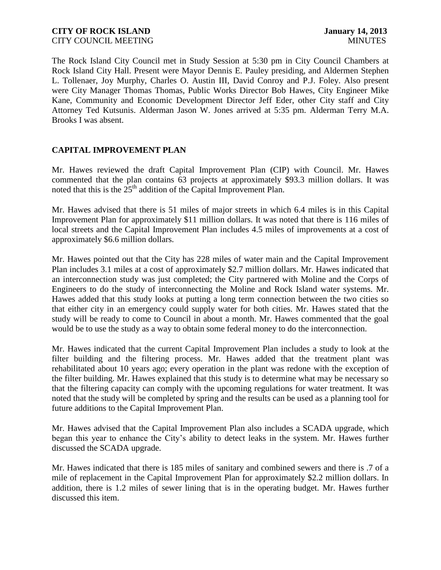The Rock Island City Council met in Study Session at 5:30 pm in City Council Chambers at Rock Island City Hall. Present were Mayor Dennis E. Pauley presiding, and Aldermen Stephen L. Tollenaer, Joy Murphy, Charles O. Austin III, David Conroy and P.J. Foley. Also present were City Manager Thomas Thomas, Public Works Director Bob Hawes, City Engineer Mike Kane, Community and Economic Development Director Jeff Eder, other City staff and City Attorney Ted Kutsunis. Alderman Jason W. Jones arrived at 5:35 pm. Alderman Terry M.A. Brooks I was absent.

# **CAPITAL IMPROVEMENT PLAN**

Mr. Hawes reviewed the draft Capital Improvement Plan (CIP) with Council. Mr. Hawes commented that the plan contains 63 projects at approximately \$93.3 million dollars. It was noted that this is the  $25<sup>th</sup>$  addition of the Capital Improvement Plan.

Mr. Hawes advised that there is 51 miles of major streets in which 6.4 miles is in this Capital Improvement Plan for approximately \$11 million dollars. It was noted that there is 116 miles of local streets and the Capital Improvement Plan includes 4.5 miles of improvements at a cost of approximately \$6.6 million dollars.

Mr. Hawes pointed out that the City has 228 miles of water main and the Capital Improvement Plan includes 3.1 miles at a cost of approximately \$2.7 million dollars. Mr. Hawes indicated that an interconnection study was just completed; the City partnered with Moline and the Corps of Engineers to do the study of interconnecting the Moline and Rock Island water systems. Mr. Hawes added that this study looks at putting a long term connection between the two cities so that either city in an emergency could supply water for both cities. Mr. Hawes stated that the study will be ready to come to Council in about a month. Mr. Hawes commented that the goal would be to use the study as a way to obtain some federal money to do the interconnection.

Mr. Hawes indicated that the current Capital Improvement Plan includes a study to look at the filter building and the filtering process. Mr. Hawes added that the treatment plant was rehabilitated about 10 years ago; every operation in the plant was redone with the exception of the filter building. Mr. Hawes explained that this study is to determine what may be necessary so that the filtering capacity can comply with the upcoming regulations for water treatment. It was noted that the study will be completed by spring and the results can be used as a planning tool for future additions to the Capital Improvement Plan.

Mr. Hawes advised that the Capital Improvement Plan also includes a SCADA upgrade, which began this year to enhance the City's ability to detect leaks in the system. Mr. Hawes further discussed the SCADA upgrade.

Mr. Hawes indicated that there is 185 miles of sanitary and combined sewers and there is .7 of a mile of replacement in the Capital Improvement Plan for approximately \$2.2 million dollars. In addition, there is 1.2 miles of sewer lining that is in the operating budget. Mr. Hawes further discussed this item.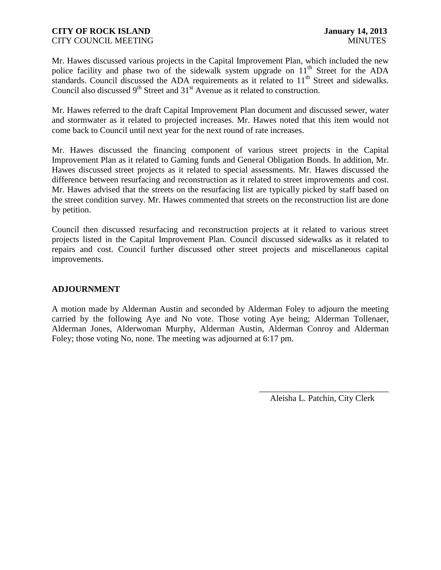Mr. Hawes discussed various projects in the Capital Improvement Plan, which included the new police facility and phase two of the sidewalk system upgrade on  $11<sup>th</sup>$  Street for the ADA standards. Council discussed the ADA requirements as it related to 11<sup>th</sup> Street and sidewalks. Council also discussed  $9<sup>th</sup>$  Street and  $31<sup>st</sup>$  Avenue as it related to construction.

Mr. Hawes referred to the draft Capital Improvement Plan document and discussed sewer, water and stormwater as it related to projected increases. Mr. Hawes noted that this item would not come back to Council until next year for the next round of rate increases.

Mr. Hawes discussed the financing component of various street projects in the Capital Improvement Plan as it related to Gaming funds and General Obligation Bonds. In addition, Mr. Hawes discussed street projects as it related to special assessments. Mr. Hawes discussed the difference between resurfacing and reconstruction as it related to street improvements and cost. Mr. Hawes advised that the streets on the resurfacing list are typically picked by staff based on the street condition survey. Mr. Hawes commented that streets on the reconstruction list are done by petition.

Council then discussed resurfacing and reconstruction projects at it related to various street projects listed in the Capital Improvement Plan. Council discussed sidewalks as it related to repairs and cost. Council further discussed other street projects and miscellaneous capital improvements.

#### **ADJOURNMENT**

A motion made by Alderman Austin and seconded by Alderman Foley to adjourn the meeting carried by the following Aye and No vote. Those voting Aye being; Alderman Tollenaer, Alderman Jones, Alderwoman Murphy, Alderman Austin, Alderman Conroy and Alderman Foley; those voting No, none. The meeting was adjourned at 6:17 pm.

> \_\_\_\_\_\_\_\_\_\_\_\_\_\_\_\_\_\_\_\_\_\_\_\_\_\_\_\_\_\_ Aleisha L. Patchin, City Clerk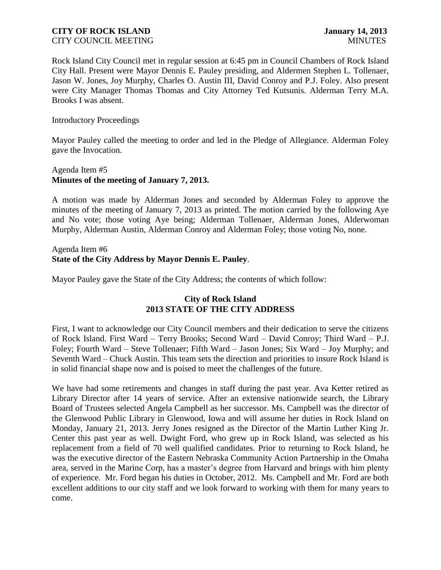Rock Island City Council met in regular session at 6:45 pm in Council Chambers of Rock Island City Hall. Present were Mayor Dennis E. Pauley presiding, and Aldermen Stephen L. Tollenaer, Jason W. Jones, Joy Murphy, Charles O. Austin III, David Conroy and P.J. Foley. Also present were City Manager Thomas Thomas and City Attorney Ted Kutsunis. Alderman Terry M.A. Brooks I was absent.

#### Introductory Proceedings

Mayor Pauley called the meeting to order and led in the Pledge of Allegiance. Alderman Foley gave the Invocation.

# Agenda Item #5 **Minutes of the meeting of January 7, 2013.**

A motion was made by Alderman Jones and seconded by Alderman Foley to approve the minutes of the meeting of January 7, 2013 as printed. The motion carried by the following Aye and No vote; those voting Aye being; Alderman Tollenaer, Alderman Jones, Alderwoman Murphy, Alderman Austin, Alderman Conroy and Alderman Foley; those voting No, none.

### Agenda Item #6 **State of the City Address by Mayor Dennis E. Pauley**.

Mayor Pauley gave the State of the City Address; the contents of which follow:

### **City of Rock Island 2013 STATE OF THE CITY ADDRESS**

First, I want to acknowledge our City Council members and their dedication to serve the citizens of Rock Island. First Ward – Terry Brooks; Second Ward – David Conroy; Third Ward – P.J. Foley; Fourth Ward – Steve Tollenaer; Fifth Ward – Jason Jones; Six Ward – Joy Murphy; and Seventh Ward – Chuck Austin. This team sets the direction and priorities to insure Rock Island is in solid financial shape now and is poised to meet the challenges of the future.

We have had some retirements and changes in staff during the past year. Ava Ketter retired as Library Director after 14 years of service. After an extensive nationwide search, the Library Board of Trustees selected Angela Campbell as her successor. Ms. Campbell was the director of the Glenwood Public Library in Glenwood, Iowa and will assume her duties in Rock Island on Monday, January 21, 2013. Jerry Jones resigned as the Director of the Martin Luther King Jr. Center this past year as well. Dwight Ford, who grew up in Rock Island, was selected as his replacement from a field of 70 well qualified candidates. Prior to returning to Rock Island, he was the executive director of the Eastern Nebraska Community Action Partnership in the Omaha area, served in the Marine Corp, has a master's degree from Harvard and brings with him plenty of experience. Mr. Ford began his duties in October, 2012. Ms. Campbell and Mr. Ford are both excellent additions to our city staff and we look forward to working with them for many years to come.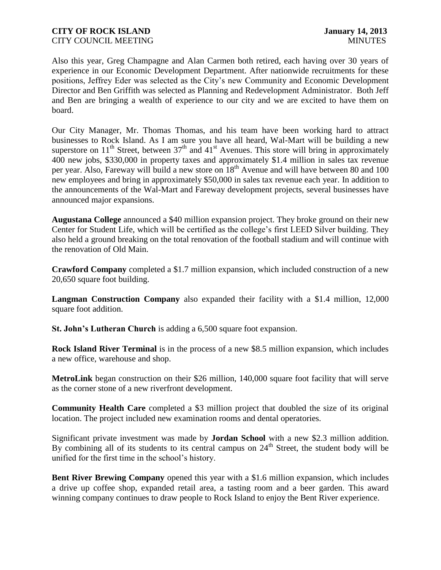Also this year, Greg Champagne and Alan Carmen both retired, each having over 30 years of experience in our Economic Development Department. After nationwide recruitments for these positions, Jeffrey Eder was selected as the City's new Community and Economic Development Director and Ben Griffith was selected as Planning and Redevelopment Administrator. Both Jeff and Ben are bringing a wealth of experience to our city and we are excited to have them on board.

Our City Manager, Mr. Thomas Thomas, and his team have been working hard to attract businesses to Rock Island. As I am sure you have all heard, Wal-Mart will be building a new superstore on  $11<sup>th</sup>$  Street, between  $37<sup>th</sup>$  and  $41<sup>st</sup>$  Avenues. This store will bring in approximately 400 new jobs, \$330,000 in property taxes and approximately \$1.4 million in sales tax revenue per year. Also, Fareway will build a new store on 18<sup>th</sup> Avenue and will have between 80 and 100 new employees and bring in approximately \$50,000 in sales tax revenue each year. In addition to the announcements of the Wal-Mart and Fareway development projects, several businesses have announced major expansions.

**Augustana College** announced a \$40 million expansion project. They broke ground on their new Center for Student Life, which will be certified as the college's first LEED Silver building. They also held a ground breaking on the total renovation of the football stadium and will continue with the renovation of Old Main.

**Crawford Company** completed a \$1.7 million expansion, which included construction of a new 20,650 square foot building.

**Langman Construction Company** also expanded their facility with a \$1.4 million, 12,000 square foot addition.

**St. John's Lutheran Church** is adding a 6,500 square foot expansion.

**Rock Island River Terminal** is in the process of a new \$8.5 million expansion, which includes a new office, warehouse and shop.

**MetroLink** began construction on their \$26 million, 140,000 square foot facility that will serve as the corner stone of a new riverfront development.

**Community Health Care** completed a \$3 million project that doubled the size of its original location. The project included new examination rooms and dental operatories.

Significant private investment was made by **Jordan School** with a new \$2.3 million addition. By combining all of its students to its central campus on  $24<sup>th</sup>$  Street, the student body will be unified for the first time in the school's history.

**Bent River Brewing Company** opened this year with a \$1.6 million expansion, which includes a drive up coffee shop, expanded retail area, a tasting room and a beer garden. This award winning company continues to draw people to Rock Island to enjoy the Bent River experience.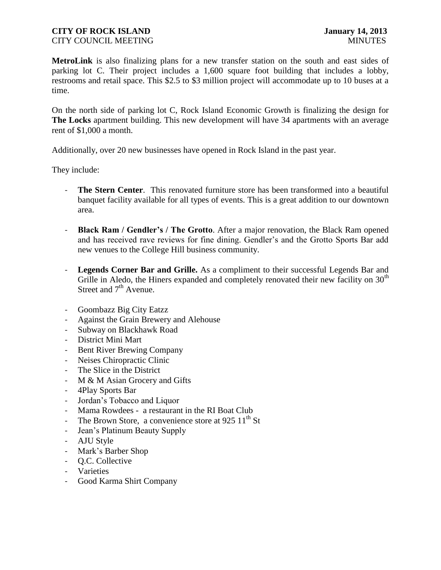**MetroLink** is also finalizing plans for a new transfer station on the south and east sides of parking lot C. Their project includes a 1,600 square foot building that includes a lobby, restrooms and retail space. This \$2.5 to \$3 million project will accommodate up to 10 buses at a time.

On the north side of parking lot C, Rock Island Economic Growth is finalizing the design for **The Locks** apartment building. This new development will have 34 apartments with an average rent of \$1,000 a month.

Additionally, over 20 new businesses have opened in Rock Island in the past year.

They include:

- The Stern Center. This renovated furniture store has been transformed into a beautiful banquet facility available for all types of events. This is a great addition to our downtown area.
- **Black Ram / Gendler's / The Grotto**. After a major renovation, the Black Ram opened and has received rave reviews for fine dining. Gendler's and the Grotto Sports Bar add new venues to the College Hill business community.
- **Legends Corner Bar and Grille.** As a compliment to their successful Legends Bar and Grille in Aledo, the Hiners expanded and completely renovated their new facility on  $30<sup>th</sup>$ Street and  $7<sup>th</sup>$  Avenue.
- Goombazz Big City Eatzz
- Against the Grain Brewery and Alehouse
- Subway on Blackhawk Road
- District Mini Mart
- Bent River Brewing Company
- Neises Chiropractic Clinic
- The Slice in the District
- M & M Asian Grocery and Gifts
- 4Play Sports Bar
- Jordan's Tobacco and Liquor
- Mama Rowdees a restaurant in the RI Boat Club
- The Brown Store, a convenience store at 925  $11<sup>th</sup>$  St
- Jean's Platinum Beauty Supply
- AJU Style
- Mark's Barber Shop
- Q.C. Collective
- Varieties
- Good Karma Shirt Company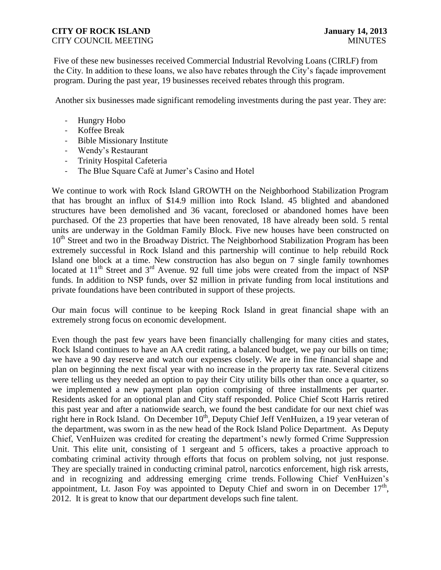# **CITY OF ROCK ISLAND January 14, 2013**

Five of these new businesses received Commercial Industrial Revolving Loans (CIRLF) from the City. In addition to these loans, we also have rebates through the City's façade improvement program. During the past year, 19 businesses received rebates through this program.

Another six businesses made significant remodeling investments during the past year. They are:

- Hungry Hobo
- Koffee Break
- Bible Missionary Institute
- Wendy's Restaurant
- Trinity Hospital Cafeteria
- The Blue Square Café at Jumer's Casino and Hotel

We continue to work with Rock Island GROWTH on the Neighborhood Stabilization Program that has brought an influx of \$14.9 million into Rock Island. 45 blighted and abandoned structures have been demolished and 36 vacant, foreclosed or abandoned homes have been purchased. Of the 23 properties that have been renovated, 18 have already been sold. 5 rental units are underway in the Goldman Family Block. Five new houses have been constructed on 10<sup>th</sup> Street and two in the Broadway District. The Neighborhood Stabilization Program has been extremely successful in Rock Island and this partnership will continue to help rebuild Rock Island one block at a time. New construction has also begun on 7 single family townhomes located at 11<sup>th</sup> Street and 3<sup>rd</sup> Avenue. 92 full time jobs were created from the impact of NSP funds. In addition to NSP funds, over \$2 million in private funding from local institutions and private foundations have been contributed in support of these projects.

Our main focus will continue to be keeping Rock Island in great financial shape with an extremely strong focus on economic development.

Even though the past few years have been financially challenging for many cities and states, Rock Island continues to have an AA credit rating, a balanced budget, we pay our bills on time; we have a 90 day reserve and watch our expenses closely. We are in fine financial shape and plan on beginning the next fiscal year with no increase in the property tax rate. Several citizens were telling us they needed an option to pay their City utility bills other than once a quarter, so we implemented a new payment plan option comprising of three installments per quarter. Residents asked for an optional plan and City staff responded. Police Chief Scott Harris retired this past year and after a nationwide search, we found the best candidate for our next chief was right here in Rock Island. On December  $10^{th}$ , Deputy Chief Jeff VenHuizen, a 19 year veteran of the department, was sworn in as the new head of the Rock Island Police Department. As Deputy Chief, VenHuizen was credited for creating the department's newly formed Crime Suppression Unit. This elite unit, consisting of 1 sergeant and 5 officers, takes a proactive approach to combating criminal activity through efforts that focus on problem solving, not just response. They are specially trained in conducting criminal patrol, narcotics enforcement, high risk arrests, and in recognizing and addressing emerging crime trends. Following Chief VenHuizen's appointment, Lt. Jason Foy was appointed to Deputy Chief and sworn in on December  $17<sup>th</sup>$ , 2012. It is great to know that our department develops such fine talent.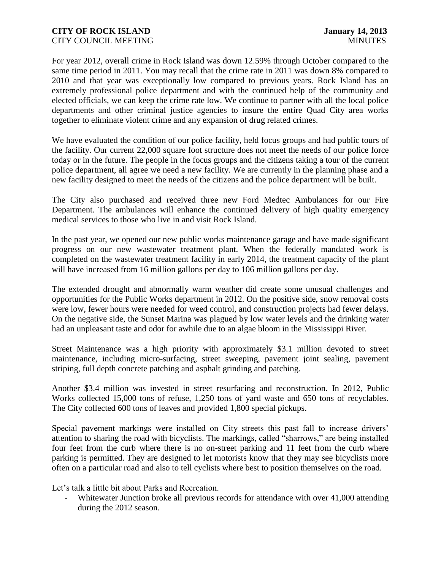For year 2012, overall crime in Rock Island was down 12.59% through October compared to the same time period in 2011. You may recall that the crime rate in 2011 was down 8% compared to 2010 and that year was exceptionally low compared to previous years. Rock Island has an extremely professional police department and with the continued help of the community and elected officials, we can keep the crime rate low. We continue to partner with all the local police departments and other criminal justice agencies to insure the entire Quad City area works together to eliminate violent crime and any expansion of drug related crimes.

We have evaluated the condition of our police facility, held focus groups and had public tours of the facility. Our current 22,000 square foot structure does not meet the needs of our police force today or in the future. The people in the focus groups and the citizens taking a tour of the current police department, all agree we need a new facility. We are currently in the planning phase and a new facility designed to meet the needs of the citizens and the police department will be built.

The City also purchased and received three new Ford Medtec Ambulances for our Fire Department. The ambulances will enhance the continued delivery of high quality emergency medical services to those who live in and visit Rock Island.

In the past year, we opened our new public works maintenance garage and have made significant progress on our new wastewater treatment plant. When the federally mandated work is completed on the wastewater treatment facility in early 2014, the treatment capacity of the plant will have increased from 16 million gallons per day to 106 million gallons per day.

The extended drought and abnormally warm weather did create some unusual challenges and opportunities for the Public Works department in 2012. On the positive side, snow removal costs were low, fewer hours were needed for weed control, and construction projects had fewer delays. On the negative side, the Sunset Marina was plagued by low water levels and the drinking water had an unpleasant taste and odor for awhile due to an algae bloom in the Mississippi River.

Street Maintenance was a high priority with approximately \$3.1 million devoted to street maintenance, including micro-surfacing, street sweeping, pavement joint sealing, pavement striping, full depth concrete patching and asphalt grinding and patching.

Another \$3.4 million was invested in street resurfacing and reconstruction. In 2012, Public Works collected 15,000 tons of refuse, 1,250 tons of yard waste and 650 tons of recyclables. The City collected 600 tons of leaves and provided 1,800 special pickups.

Special pavement markings were installed on City streets this past fall to increase drivers' attention to sharing the road with bicyclists. The markings, called "sharrows," are being installed four feet from the curb where there is no on-street parking and 11 feet from the curb where parking is permitted. They are designed to let motorists know that they may see bicyclists more often on a particular road and also to tell cyclists where best to position themselves on the road.

Let's talk a little bit about Parks and Recreation.

Whitewater Junction broke all previous records for attendance with over 41,000 attending during the 2012 season.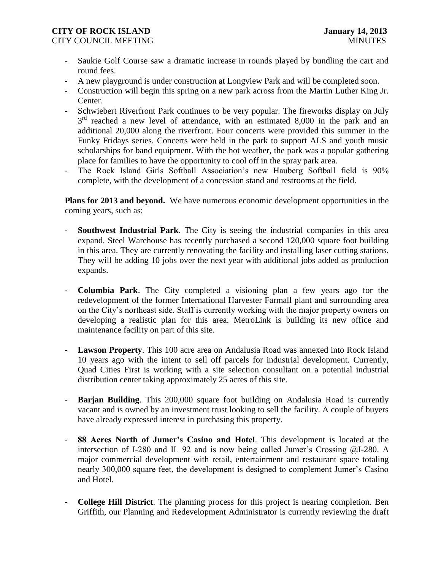# **CITY OF ROCK ISLAND January 14, 2013**

- CITY COUNCIL MEETING THE COUNCIL MEETING THE COUNCIL MINUTES
	- Saukie Golf Course saw a dramatic increase in rounds played by bundling the cart and round fees.
	- A new playground is under construction at Longview Park and will be completed soon.
	- Construction will begin this spring on a new park across from the Martin Luther King Jr. Center.
	- Schwiebert Riverfront Park continues to be very popular. The fireworks display on July 3<sup>rd</sup> reached a new level of attendance, with an estimated 8,000 in the park and an additional 20,000 along the riverfront. Four concerts were provided this summer in the Funky Fridays series. Concerts were held in the park to support ALS and youth music scholarships for band equipment. With the hot weather, the park was a popular gathering place for families to have the opportunity to cool off in the spray park area.
	- The Rock Island Girls Softball Association's new Hauberg Softball field is 90% complete, with the development of a concession stand and restrooms at the field.

**Plans for 2013 and beyond.** We have numerous economic development opportunities in the coming years, such as:

- **Southwest Industrial Park**. The City is seeing the industrial companies in this area expand. Steel Warehouse has recently purchased a second 120,000 square foot building in this area. They are currently renovating the facility and installing laser cutting stations. They will be adding 10 jobs over the next year with additional jobs added as production expands.
- **Columbia Park**. The City completed a visioning plan a few years ago for the redevelopment of the former International Harvester Farmall plant and surrounding area on the City's northeast side. Staff is currently working with the major property owners on developing a realistic plan for this area. MetroLink is building its new office and maintenance facility on part of this site.
- **Lawson Property**. This 100 acre area on Andalusia Road was annexed into Rock Island 10 years ago with the intent to sell off parcels for industrial development. Currently, Quad Cities First is working with a site selection consultant on a potential industrial distribution center taking approximately 25 acres of this site.
- **Barjan Building**. This 200,000 square foot building on Andalusia Road is currently vacant and is owned by an investment trust looking to sell the facility. A couple of buyers have already expressed interest in purchasing this property.
- **88 Acres North of Jumer's Casino and Hotel**. This development is located at the intersection of I-280 and IL 92 and is now being called Jumer's Crossing @I-280. A major commercial development with retail, entertainment and restaurant space totaling nearly 300,000 square feet, the development is designed to complement Jumer's Casino and Hotel.
- **College Hill District**. The planning process for this project is nearing completion. Ben Griffith, our Planning and Redevelopment Administrator is currently reviewing the draft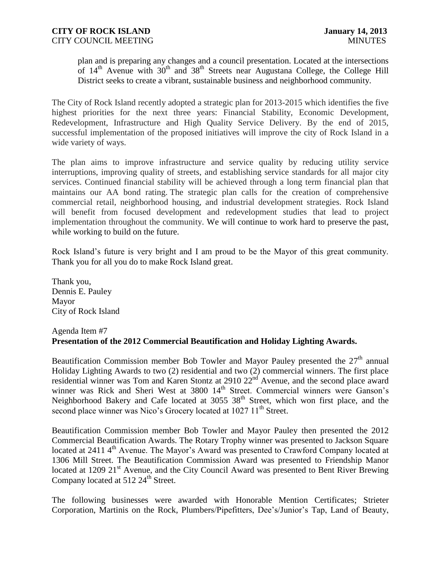plan and is preparing any changes and a council presentation. Located at the intersections of  $14<sup>th</sup>$  Avenue with  $30<sup>th</sup>$  and  $38<sup>th</sup>$  Streets near Augustana College, the College Hill District seeks to create a vibrant, sustainable business and neighborhood community.

The City of Rock Island recently adopted a strategic plan for 2013-2015 which identifies the five highest priorities for the next three years: Financial Stability, Economic Development, Redevelopment, Infrastructure and High Quality Service Delivery. By the end of 2015, successful implementation of the proposed initiatives will improve the city of Rock Island in a wide variety of ways.

The plan aims to improve infrastructure and service quality by reducing utility service interruptions, improving quality of streets, and establishing service standards for all major city services. Continued financial stability will be achieved through a long term financial plan that maintains our AA bond rating. The strategic plan calls for the creation of comprehensive commercial retail, neighborhood housing, and industrial development strategies. Rock Island will benefit from focused development and redevelopment studies that lead to project implementation throughout the community. We will continue to work hard to preserve the past, while working to build on the future.

Rock Island's future is very bright and I am proud to be the Mayor of this great community. Thank you for all you do to make Rock Island great.

Thank you, Dennis E. Pauley Mayor City of Rock Island

#### Agenda Item #7 **Presentation of the 2012 Commercial Beautification and Holiday Lighting Awards.**

Beautification Commission member Bob Towler and Mayor Pauley presented the  $27<sup>th</sup>$  annual Holiday Lighting Awards to two (2) residential and two (2) commercial winners. The first place residential winner was Tom and Karen Stontz at 2910  $22<sup>nd</sup>$  Avenue, and the second place award winner was Rick and Sheri West at 3800 14<sup>th</sup> Street. Commercial winners were Ganson's Neighborhood Bakery and Cafe located at 3055 38<sup>th</sup> Street, which won first place, and the second place winner was Nico's Grocery located at 1027 11<sup>th</sup> Street.

Beautification Commission member Bob Towler and Mayor Pauley then presented the 2012 Commercial Beautification Awards. The Rotary Trophy winner was presented to Jackson Square located at 2411 4<sup>th</sup> Avenue. The Mayor's Award was presented to Crawford Company located at 1306 Mill Street. The Beautification Commission Award was presented to Friendship Manor located at 1209 21<sup>st</sup> Avenue, and the City Council Award was presented to Bent River Brewing Company located at  $512 \, 24^{\text{th}}$  Street.

The following businesses were awarded with Honorable Mention Certificates; Strieter Corporation, Martinis on the Rock, Plumbers/Pipefitters, Dee's/Junior's Tap, Land of Beauty,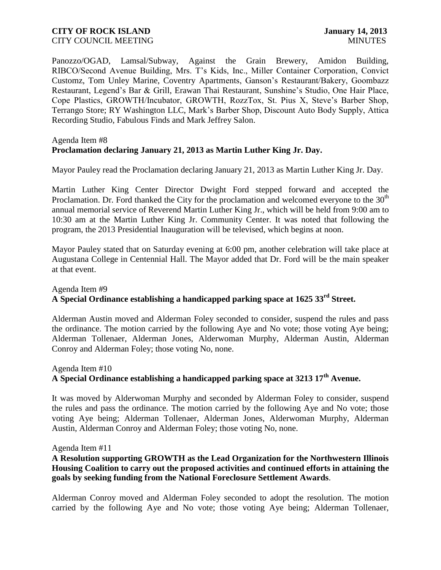Panozzo/OGAD, Lamsal/Subway, Against the Grain Brewery, Amidon Building, RIBCO/Second Avenue Building, Mrs. T's Kids, Inc., Miller Container Corporation, Convict Customz, Tom Unley Marine, Coventry Apartments, Ganson's Restaurant/Bakery, Goombazz Restaurant, Legend's Bar & Grill, Erawan Thai Restaurant, Sunshine's Studio, One Hair Place, Cope Plastics, GROWTH/Incubator, GROWTH, RozzTox, St. Pius X, Steve's Barber Shop, Terrango Store; RY Washington LLC, Mark's Barber Shop, Discount Auto Body Supply, Attica Recording Studio, Fabulous Finds and Mark Jeffrey Salon.

#### Agenda Item #8 **Proclamation declaring January 21, 2013 as Martin Luther King Jr. Day.**

Mayor Pauley read the Proclamation declaring January 21, 2013 as Martin Luther King Jr. Day.

Martin Luther King Center Director Dwight Ford stepped forward and accepted the Proclamation. Dr. Ford thanked the City for the proclamation and welcomed everyone to the  $30<sup>th</sup>$ annual memorial service of Reverend Martin Luther King Jr., which will be held from 9:00 am to 10:30 am at the Martin Luther King Jr. Community Center. It was noted that following the program, the 2013 Presidential Inauguration will be televised, which begins at noon.

Mayor Pauley stated that on Saturday evening at 6:00 pm, another celebration will take place at Augustana College in Centennial Hall. The Mayor added that Dr. Ford will be the main speaker at that event.

# Agenda Item #9 **A Special Ordinance establishing a handicapped parking space at 1625 33rd Street.**

Alderman Austin moved and Alderman Foley seconded to consider, suspend the rules and pass the ordinance. The motion carried by the following Aye and No vote; those voting Aye being; Alderman Tollenaer, Alderman Jones, Alderwoman Murphy, Alderman Austin, Alderman Conroy and Alderman Foley; those voting No, none.

Agenda Item #10 **A Special Ordinance establishing a handicapped parking space at 3213 17th Avenue.**

It was moved by Alderwoman Murphy and seconded by Alderman Foley to consider, suspend the rules and pass the ordinance. The motion carried by the following Aye and No vote; those voting Aye being; Alderman Tollenaer, Alderman Jones, Alderwoman Murphy, Alderman Austin, Alderman Conroy and Alderman Foley; those voting No, none.

Agenda Item #11

# **A Resolution supporting GROWTH as the Lead Organization for the Northwestern Illinois Housing Coalition to carry out the proposed activities and continued efforts in attaining the goals by seeking funding from the National Foreclosure Settlement Awards**.

Alderman Conroy moved and Alderman Foley seconded to adopt the resolution. The motion carried by the following Aye and No vote; those voting Aye being; Alderman Tollenaer,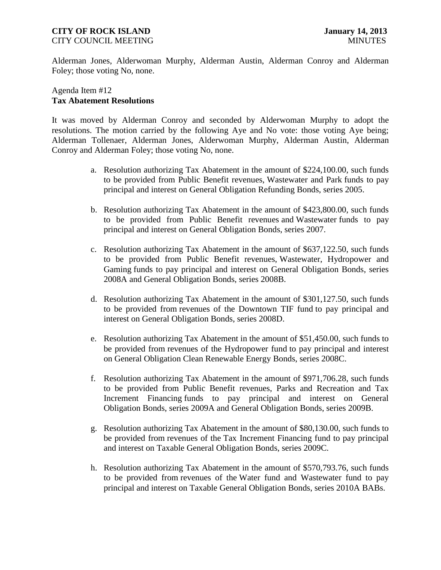# **CITY OF ROCK ISLAND January 14, 2013**

Alderman Jones, Alderwoman Murphy, Alderman Austin, Alderman Conroy and Alderman Foley; those voting No, none.

# Agenda Item #12 **Tax Abatement Resolutions**

It was moved by Alderman Conroy and seconded by Alderwoman Murphy to adopt the resolutions. The motion carried by the following Aye and No vote: those voting Aye being; Alderman Tollenaer, Alderman Jones, Alderwoman Murphy, Alderman Austin, Alderman Conroy and Alderman Foley; those voting No, none.

- a. Resolution authorizing Tax Abatement in the amount of \$224,100.00, such funds to be provided from Public Benefit revenues, Wastewater and Park funds to pay principal and interest on General Obligation Refunding Bonds, series 2005.
- b. Resolution authorizing Tax Abatement in the amount of \$423,800.00, such funds to be provided from Public Benefit revenues and Wastewater funds to pay principal and interest on General Obligation Bonds, series 2007.
- c. Resolution authorizing Tax Abatement in the amount of \$637,122.50, such funds to be provided from Public Benefit revenues, Wastewater, Hydropower and Gaming funds to pay principal and interest on General Obligation Bonds, series 2008A and General Obligation Bonds, series 2008B.
- d. Resolution authorizing Tax Abatement in the amount of \$301,127.50, such funds to be provided from revenues of the Downtown TIF fund to pay principal and interest on General Obligation Bonds, series 2008D.
- e. Resolution authorizing Tax Abatement in the amount of \$51,450.00, such funds to be provided from revenues of the Hydropower fund to pay principal and interest on General Obligation Clean Renewable Energy Bonds, series 2008C.
- f. Resolution authorizing Tax Abatement in the amount of \$971,706.28, such funds to be provided from Public Benefit revenues, Parks and Recreation and Tax Increment Financing funds to pay principal and interest on General Obligation Bonds, series 2009A and General Obligation Bonds, series 2009B.
- g. Resolution authorizing Tax Abatement in the amount of \$80,130.00, such funds to be provided from revenues of the Tax Increment Financing fund to pay principal and interest on Taxable General Obligation Bonds, series 2009C.
- h. Resolution authorizing Tax Abatement in the amount of \$570,793.76, such funds to be provided from revenues of the Water fund and Wastewater fund to pay principal and interest on Taxable General Obligation Bonds, series 2010A BABs.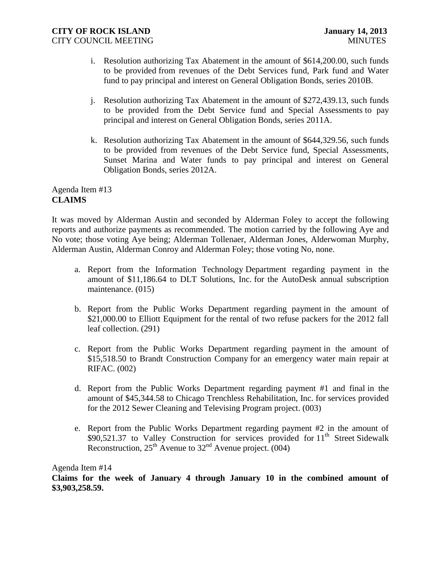- i. Resolution authorizing Tax Abatement in the amount of \$614,200.00, such funds to be provided from revenues of the Debt Services fund, Park fund and Water fund to pay principal and interest on General Obligation Bonds, series 2010B.
- j. Resolution authorizing Tax Abatement in the amount of \$272,439.13, such funds to be provided from the Debt Service fund and Special Assessments to pay principal and interest on General Obligation Bonds, series 2011A.
- k. Resolution authorizing Tax Abatement in the amount of \$644,329.56, such funds to be provided from revenues of the Debt Service fund, Special Assessments, Sunset Marina and Water funds to pay principal and interest on General Obligation Bonds, series 2012A.

Agenda Item #13 **CLAIMS**

It was moved by Alderman Austin and seconded by Alderman Foley to accept the following reports and authorize payments as recommended. The motion carried by the following Aye and No vote; those voting Aye being; Alderman Tollenaer, Alderman Jones, Alderwoman Murphy, Alderman Austin, Alderman Conroy and Alderman Foley; those voting No, none.

- a. Report from the Information Technology Department regarding payment in the amount of \$11,186.64 to DLT Solutions, Inc. for the AutoDesk annual subscription maintenance. (015)
- b. Report from the Public Works Department regarding payment in the amount of \$21,000.00 to Elliott Equipment for the rental of two refuse packers for the 2012 fall leaf collection. (291)
- c. Report from the Public Works Department regarding payment in the amount of \$15,518.50 to Brandt Construction Company for an emergency water main repair at RIFAC. (002)
- d. Report from the Public Works Department regarding payment #1 and final in the amount of \$45,344.58 to Chicago Trenchless Rehabilitation, Inc. for services provided for the 2012 Sewer Cleaning and Televising Program project. (003)
- e. Report from the Public Works Department regarding payment #2 in the amount of  $$90,521.37$  to Valley Construction for services provided for  $11<sup>th</sup>$  Street Sidewalk Reconstruction,  $25<sup>th</sup>$  Avenue to  $32<sup>nd</sup>$  Avenue project. (004)

Agenda Item #14

**Claims for the week of January 4 through January 10 in the combined amount of \$3,903,258.59.**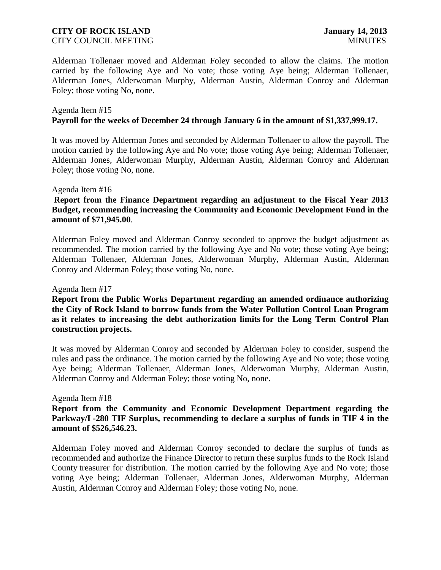Alderman Tollenaer moved and Alderman Foley seconded to allow the claims. The motion carried by the following Aye and No vote; those voting Aye being; Alderman Tollenaer, Alderman Jones, Alderwoman Murphy, Alderman Austin, Alderman Conroy and Alderman Foley; those voting No, none.

### Agenda Item #15 **Payroll for the weeks of December 24 through January 6 in the amount of \$1,337,999.17.**

It was moved by Alderman Jones and seconded by Alderman Tollenaer to allow the payroll. The motion carried by the following Aye and No vote; those voting Aye being; Alderman Tollenaer, Alderman Jones, Alderwoman Murphy, Alderman Austin, Alderman Conroy and Alderman Foley; those voting No, none.

#### Agenda Item #16

### **Report from the Finance Department regarding an adjustment to the Fiscal Year 2013 Budget, recommending increasing the Community and Economic Development Fund in the amount of \$71,945.00**.

Alderman Foley moved and Alderman Conroy seconded to approve the budget adjustment as recommended. The motion carried by the following Aye and No vote; those voting Aye being; Alderman Tollenaer, Alderman Jones, Alderwoman Murphy, Alderman Austin, Alderman Conroy and Alderman Foley; those voting No, none.

Agenda Item #17

**Report from the Public Works Department regarding an amended ordinance authorizing the City of Rock Island to borrow funds from the Water Pollution Control Loan Program as it relates to increasing the debt authorization limits for the Long Term Control Plan construction projects.** 

It was moved by Alderman Conroy and seconded by Alderman Foley to consider, suspend the rules and pass the ordinance. The motion carried by the following Aye and No vote; those voting Aye being; Alderman Tollenaer, Alderman Jones, Alderwoman Murphy, Alderman Austin, Alderman Conroy and Alderman Foley; those voting No, none.

#### Agenda Item #18

**Report from the Community and Economic Development Department regarding the Parkway/I -280 TIF Surplus, recommending to declare a surplus of funds in TIF 4 in the amount of \$526,546.23.** 

Alderman Foley moved and Alderman Conroy seconded to declare the surplus of funds as recommended and authorize the Finance Director to return these surplus funds to the Rock Island County treasurer for distribution. The motion carried by the following Aye and No vote; those voting Aye being; Alderman Tollenaer, Alderman Jones, Alderwoman Murphy, Alderman Austin, Alderman Conroy and Alderman Foley; those voting No, none.